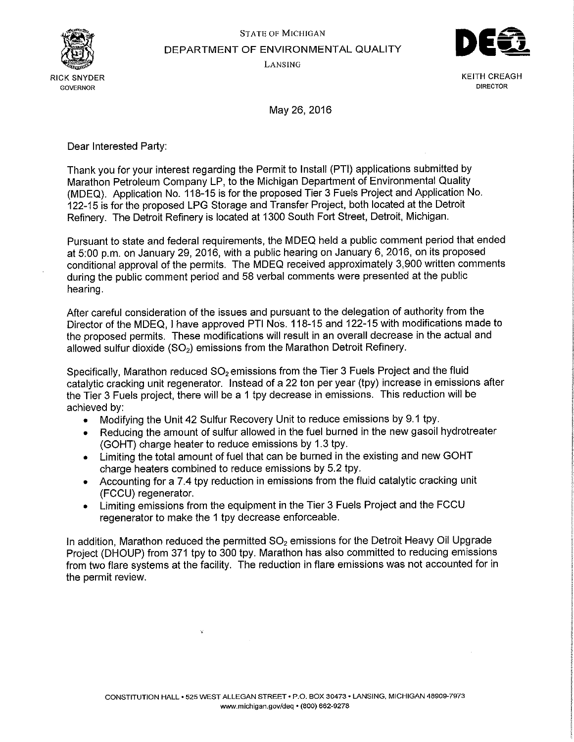



RICK SNYDER GETHOLOGIE IN DE REAGH AND A STREAGH AND A STREAGH AND A STREAGH AND A STREAGH AND A STREAGH AND A **GOVERNOR DIRECTOR** 

May 26, 2016

Dear Interested Party:

Thank you for your interest regarding the Permit to Install (PTI) applications submitted by Marathon Petroleum Company LP, to the Michigan Department of Environmental Quality (MDEQ). Application No. 118-15 is for the proposed Tier 3 Fuels Project and Application No. 122-15 is for the proposed LPG Storage and Transfer Project, both located at the Detroit Refinery. The Detroit Refinery is located at 1300 South Fort Street, Detroit, Michigan.

Pursuant to state and federal requirements, the MDEQ held a public comment period that ended at 5:00 p.m. on January 29, 2016, with a public hearing on January 6, 2016, on its proposed conditional approval of the permits. The MDEQ received approximately 3,900 written comments during the public comment period and 58 verbal comments were presented at the public hearing.

After careful consideration of the issues and pursuant to the delegation of authority from the Director of the MDEQ, I have approved PTI Nos. 118-15 and 122-15 with modifications made to the proposed permits. These modifications will result in an overall decrease in the actual and allowed sulfur dioxide  $(SO<sub>2</sub>)$  emissions from the Marathon Detroit Refinery.

Specifically, Marathon reduced  $SO<sub>2</sub>$  emissions from the Tier 3 Fuels Project and the fluid catalytic cracking unit regenerator. Instead of a 22 ton per year (tpy) increase in emissions after the Tier 3 Fuels project, there will be a 1 tpy decrease in emissions. This reduction will be achieved by:

- Modifying the Unit 42 Sulfur Recovery Unit to reduce emissions by 9.1 tpy.
- Reducing the amount of sulfur allowed in the fuel burned in the new gasoil hydrotreater (GOHT) charge heater to reduce emissions by 1.3 tpy.
- Limiting the total amount of fuel that can be burned in the existing and new GOHT charge heaters combined to reduce emissions by 5.2 tpy.
- Accounting for a 7.4 tpy reduction in emissions from the fluid catalytic cracking unit (FCCU) regenerator.
- Limiting emissions from the equipment in the Tier 3 Fuels Project and the FCCU regenerator to make the 1 tpy decrease enforceable.

In addition, Marathon reduced the permitted  $SO<sub>2</sub>$  emissions for the Detroit Heavy Oil Upgrade Project (DHOUP) from 371 tpy to 300 tpy. Marathon has also committed to reducing emissions from two flare systems at the facility. The reduction in flare emissions was not accounted for in the permit review.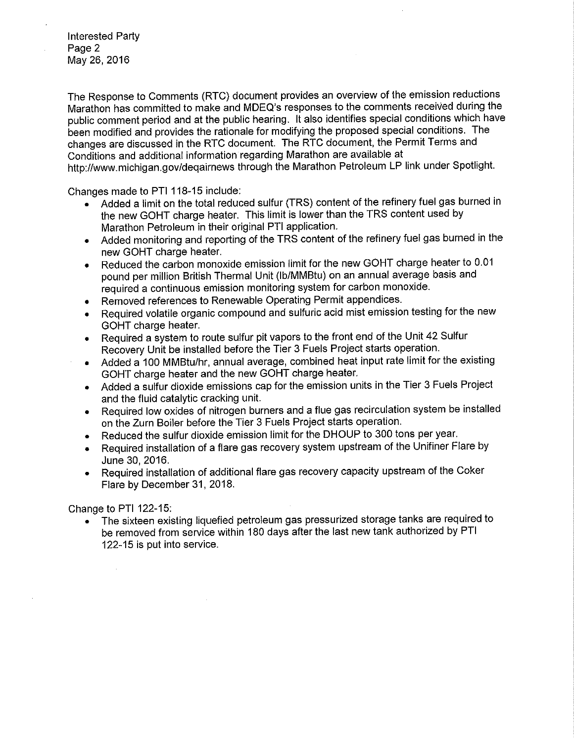Interested Party Page 2 May 26, 2016

The Response to Comments (RTC) document provides an overview of the emission reductions Marathon has committed to make and MDEQ's responses to the comments received during the public comment period and at the public hearing. It also identifies special conditions which have been modified and provides the rationale for modifying the proposed special conditions. The changes are discussed in the RTC document. The RTC document, the Permit Terms and Conditions and additional information regarding Marathon are available at [http://www.michigan.gov/deqairnews th](http://www.michigan.gov/deqairnews)rough the Marathon Petroleum LP link under Spotlight.

Changes made to PTI 118-15 include:

- Added a limit on the total reduced sulfur (TRS) content of the refinery fuel gas burned in the new GOHT charge heater. This limit is lower than the TRS content used by Marathon Petroleum in their original PTI application.
- Added monitoring and reporting of the TRS content of the refinery fuel gas burned in the new GOHT charge heater.
- Reduced the carbon monoxide emission limit for the new GOHT charge heater to 0.01 pound per million British Thermal Unit (lb/MMBtu) on an annual average basis and required a continuous emission monitoring system for carbon monoxide.
- Removed references to Renewable Operating Permit appendices.
- Required volatile organic compound and sulfuric acid mist emission testing for the new GOHT charge heater.
- Required a system to route sulfur pit vapors to the front end of the Unit 42 Sulfur Recovery Unit be installed before the Tier 3 Fuels Project starts operation.
- Added a 100 **MM**Btu/hr, annual average, combined heat input rate limit for the existing GOHT charge heater and the new GOHT charge heater.
- Added a sulfur dioxide emissions cap for the emission units in the Tier 3 Fuels Project and the fluid catalytic cracking unit.
- Required low oxides of nitrogen burners and a flue gas recirculation system be installed on the Zurn Boiler before the Tier 3 Fuels Project starts operation.
- Reduced the sulfur dioxide emission limit for the DHOUP to 300 tons per year.
- Required installation of a flare gas recovery system upstream of the Unifiner Flare by June 30, 2016.
- Required installation of additional flare gas recovery capacity upstream of the Coker Flare by December 31, 2018.

Change to PTI 122-15:

 $\bar{\nu}$ 

• The sixteen existing liquefied petroleum gas pressurized storage tanks are required to be removed from service within 180 days after the last new tank authorized by PTI 122-15 is put into service.